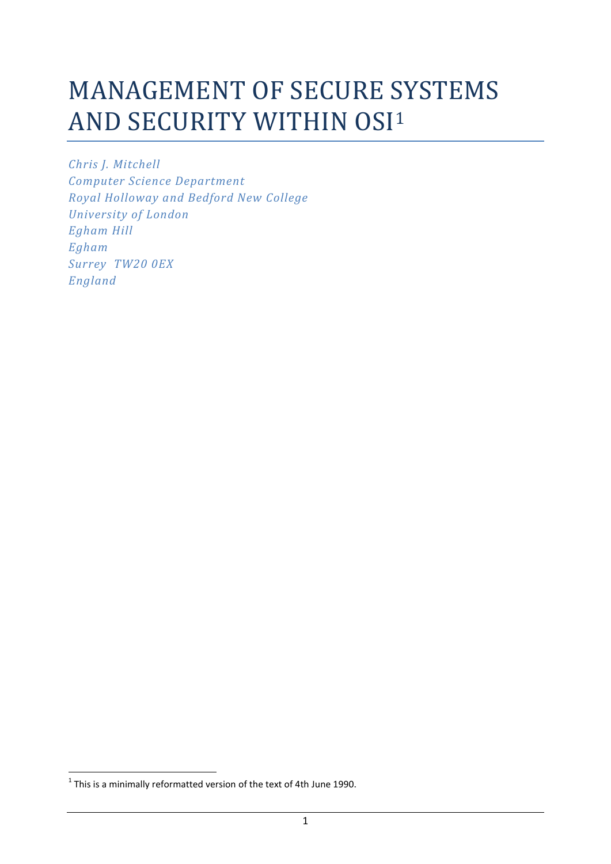# MANAGEMENT OF SECURE SYSTEMS AND SECURITY WITHIN OSI<sup>1</sup>

*Chris J. Mitchell Computer Science Department Royal Holloway and Bedford New College University of London Egham Hill Egham Surrey TW20 0EX England*

**.** 

 $^1$  This is a minimally reformatted version of the text of 4th June 1990.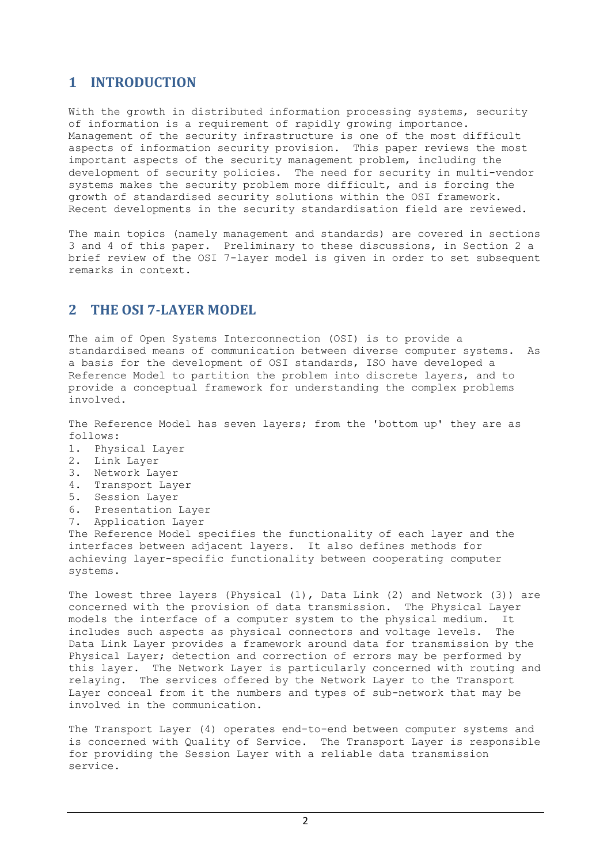# **1 INTRODUCTION**

With the growth in distributed information processing systems, security of information is a requirement of rapidly growing importance. Management of the security infrastructure is one of the most difficult aspects of information security provision. This paper reviews the most important aspects of the security management problem, including the development of security policies. The need for security in multi-vendor systems makes the security problem more difficult, and is forcing the growth of standardised security solutions within the OSI framework. Recent developments in the security standardisation field are reviewed.

The main topics (namely management and standards) are covered in sections 3 and 4 of this paper. Preliminary to these discussions, in Section 2 a brief review of the OSI 7-layer model is given in order to set subsequent remarks in context.

# **2 THE OSI 7-LAYER MODEL**

The aim of Open Systems Interconnection (OSI) is to provide a standardised means of communication between diverse computer systems. As a basis for the development of OSI standards, ISO have developed a Reference Model to partition the problem into discrete layers, and to provide a conceptual framework for understanding the complex problems involved.

The Reference Model has seven layers; from the 'bottom up' they are as follows:

- 1. Physical Layer
- 2. Link Layer
- 3. Network Layer
- 4. Transport Layer
- 5. Session Layer
- 6. Presentation Layer
- 7. Application Layer

The Reference Model specifies the functionality of each layer and the interfaces between adjacent layers. It also defines methods for achieving layer-specific functionality between cooperating computer systems.

The lowest three layers (Physical (1), Data Link (2) and Network (3)) are concerned with the provision of data transmission. The Physical Layer models the interface of a computer system to the physical medium. It includes such aspects as physical connectors and voltage levels. The Data Link Layer provides a framework around data for transmission by the Physical Layer; detection and correction of errors may be performed by this layer. The Network Layer is particularly concerned with routing and relaying. The services offered by the Network Layer to the Transport Layer conceal from it the numbers and types of sub-network that may be involved in the communication.

The Transport Layer (4) operates end-to-end between computer systems and is concerned with Quality of Service. The Transport Layer is responsible for providing the Session Layer with a reliable data transmission service.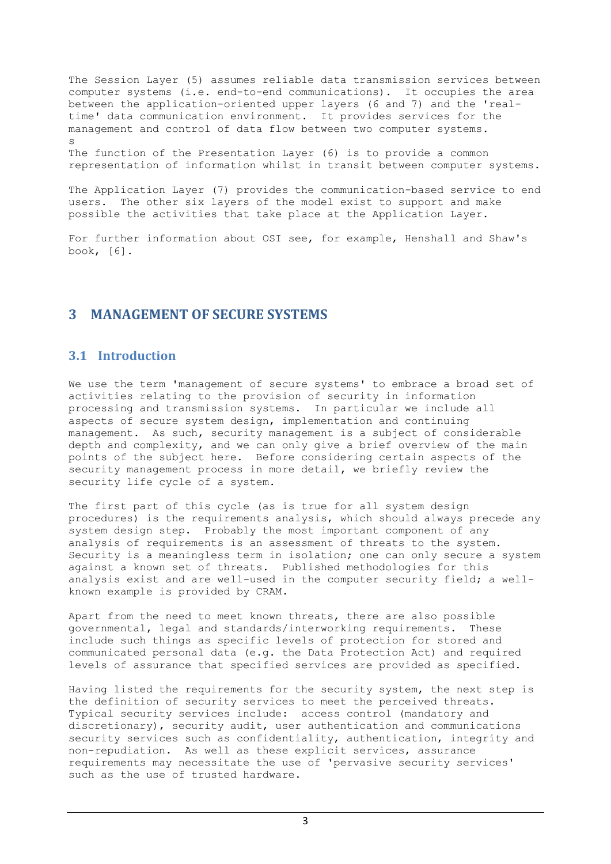The Session Layer (5) assumes reliable data transmission services between computer systems (i.e. end-to-end communications). It occupies the area between the application-oriented upper layers (6 and 7) and the 'realtime' data communication environment. It provides services for the management and control of data flow between two computer systems. s

The function of the Presentation Layer (6) is to provide a common representation of information whilst in transit between computer systems.

The Application Layer (7) provides the communication-based service to end users. The other six layers of the model exist to support and make possible the activities that take place at the Application Layer.

For further information about OSI see, for example, Henshall and Shaw's book, [6].

# **3 MANAGEMENT OF SECURE SYSTEMS**

# **3.1 Introduction**

We use the term 'management of secure systems' to embrace a broad set of activities relating to the provision of security in information processing and transmission systems. In particular we include all aspects of secure system design, implementation and continuing management. As such, security management is a subject of considerable depth and complexity, and we can only give a brief overview of the main points of the subject here. Before considering certain aspects of the security management process in more detail, we briefly review the security life cycle of a system.

The first part of this cycle (as is true for all system design procedures) is the requirements analysis, which should always precede any system design step. Probably the most important component of any analysis of requirements is an assessment of threats to the system. Security is a meaningless term in isolation; one can only secure a system against a known set of threats. Published methodologies for this analysis exist and are well-used in the computer security field; a wellknown example is provided by CRAM.

Apart from the need to meet known threats, there are also possible governmental, legal and standards/interworking requirements. These include such things as specific levels of protection for stored and communicated personal data (e.g. the Data Protection Act) and required levels of assurance that specified services are provided as specified.

Having listed the requirements for the security system, the next step is the definition of security services to meet the perceived threats. Typical security services include: access control (mandatory and discretionary), security audit, user authentication and communications security services such as confidentiality, authentication, integrity and non-repudiation. As well as these explicit services, assurance requirements may necessitate the use of 'pervasive security services' such as the use of trusted hardware.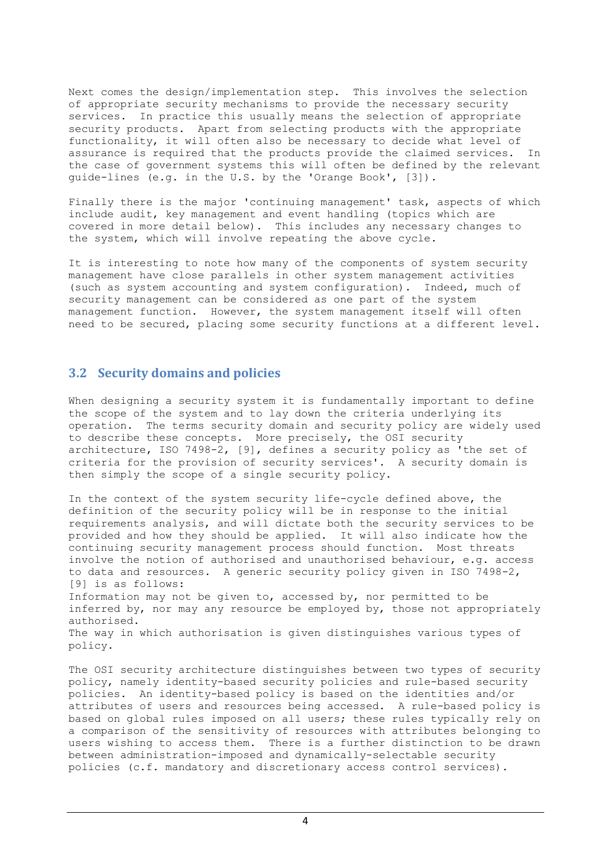Next comes the design/implementation step. This involves the selection of appropriate security mechanisms to provide the necessary security services. In practice this usually means the selection of appropriate security products. Apart from selecting products with the appropriate functionality, it will often also be necessary to decide what level of assurance is required that the products provide the claimed services. In the case of government systems this will often be defined by the relevant guide-lines (e.g. in the U.S. by the 'Orange Book', [3]).

Finally there is the major 'continuing management' task, aspects of which include audit, key management and event handling (topics which are covered in more detail below). This includes any necessary changes to the system, which will involve repeating the above cycle.

It is interesting to note how many of the components of system security management have close parallels in other system management activities (such as system accounting and system configuration). Indeed, much of security management can be considered as one part of the system management function. However, the system management itself will often need to be secured, placing some security functions at a different level.

## **3.2 Security domains and policies**

When designing a security system it is fundamentally important to define the scope of the system and to lay down the criteria underlying its operation. The terms security domain and security policy are widely used to describe these concepts. More precisely, the OSI security architecture, ISO 7498-2, [9], defines a security policy as 'the set of criteria for the provision of security services'. A security domain is then simply the scope of a single security policy.

In the context of the system security life-cycle defined above, the definition of the security policy will be in response to the initial requirements analysis, and will dictate both the security services to be provided and how they should be applied. It will also indicate how the continuing security management process should function. Most threats involve the notion of authorised and unauthorised behaviour, e.g. access to data and resources. A generic security policy given in ISO 7498-2, [9] is as follows:

Information may not be given to, accessed by, nor permitted to be inferred by, nor may any resource be employed by, those not appropriately authorised.

The way in which authorisation is given distinguishes various types of policy.

The OSI security architecture distinguishes between two types of security policy, namely identity-based security policies and rule-based security policies. An identity-based policy is based on the identities and/or attributes of users and resources being accessed. A rule-based policy is based on global rules imposed on all users; these rules typically rely on a comparison of the sensitivity of resources with attributes belonging to users wishing to access them. There is a further distinction to be drawn between administration-imposed and dynamically-selectable security policies (c.f. mandatory and discretionary access control services).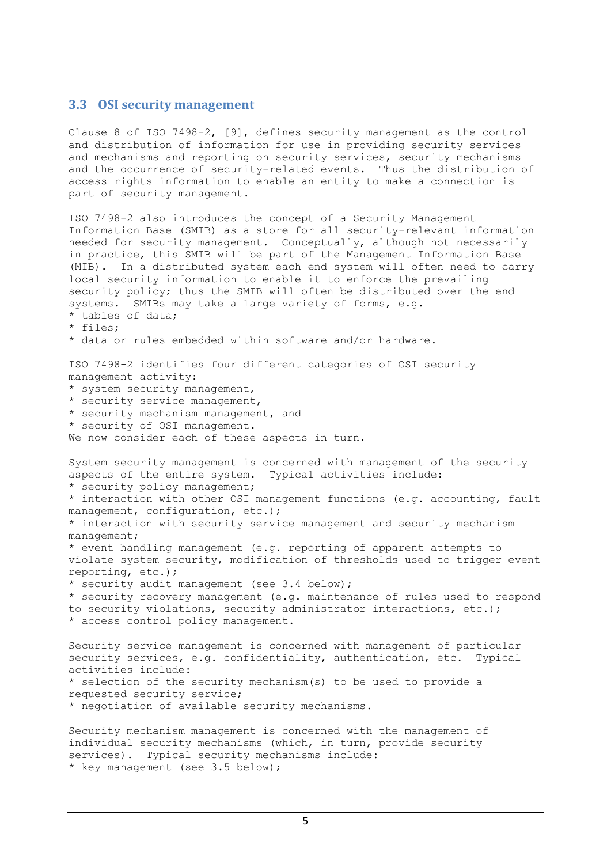## **3.3 OSI security management**

Clause 8 of ISO 7498-2, [9], defines security management as the control and distribution of information for use in providing security services and mechanisms and reporting on security services, security mechanisms and the occurrence of security-related events. Thus the distribution of access rights information to enable an entity to make a connection is part of security management.

ISO 7498-2 also introduces the concept of a Security Management Information Base (SMIB) as a store for all security-relevant information needed for security management. Conceptually, although not necessarily in practice, this SMIB will be part of the Management Information Base (MIB). In a distributed system each end system will often need to carry local security information to enable it to enforce the prevailing security policy; thus the SMIB will often be distributed over the end systems. SMIBs may take a large variety of forms, e.g. tables of data; \* files; \* data or rules embedded within software and/or hardware. ISO 7498-2 identifies four different categories of OSI security management activity: \* system security management, \* security service management, \* security mechanism management, and \* security of OSI management. We now consider each of these aspects in turn. System security management is concerned with management of the security aspects of the entire system. Typical activities include: \* security policy management; \* interaction with other OSI management functions (e.g. accounting, fault management, configuration, etc.); \* interaction with security service management and security mechanism management; \* event handling management (e.g. reporting of apparent attempts to violate system security, modification of thresholds used to trigger event reporting, etc.); \* security audit management (see 3.4 below); \* security recovery management (e.g. maintenance of rules used to respond to security violations, security administrator interactions, etc.); \* access control policy management. Security service management is concerned with management of particular security services, e.g. confidentiality, authentication, etc. Typical activities include: \* selection of the security mechanism(s) to be used to provide a requested security service; \* negotiation of available security mechanisms. Security mechanism management is concerned with the management of

individual security mechanisms (which, in turn, provide security services). Typical security mechanisms include: \* key management (see 3.5 below);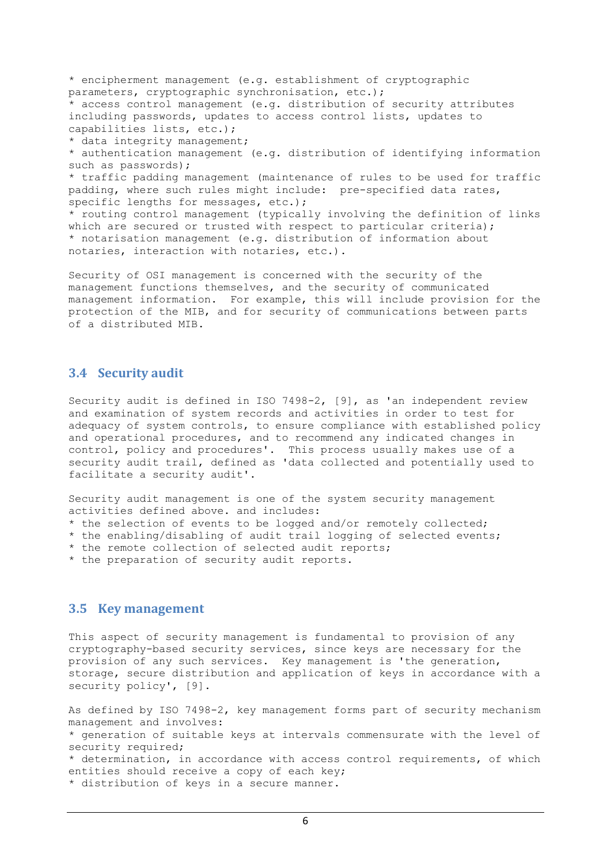\* encipherment management (e.g. establishment of cryptographic parameters, cryptographic synchronisation, etc.); access control management (e.g. distribution of security attributes including passwords, updates to access control lists, updates to capabilities lists, etc.); \* data integrity management; \* authentication management (e.g. distribution of identifying information such as passwords); \* traffic padding management (maintenance of rules to be used for traffic padding, where such rules might include: pre-specified data rates, specific lengths for messages, etc.); \* routing control management (typically involving the definition of links which are secured or trusted with respect to particular criteria); \* notarisation management (e.g. distribution of information about notaries, interaction with notaries, etc.).

Security of OSI management is concerned with the security of the management functions themselves, and the security of communicated management information. For example, this will include provision for the protection of the MIB, and for security of communications between parts of a distributed MIB.

## **3.4 Security audit**

Security audit is defined in ISO 7498-2, [9], as 'an independent review and examination of system records and activities in order to test for adequacy of system controls, to ensure compliance with established policy and operational procedures, and to recommend any indicated changes in control, policy and procedures'. This process usually makes use of a security audit trail, defined as 'data collected and potentially used to facilitate a security audit'.

Security audit management is one of the system security management activities defined above. and includes:

- \* the selection of events to be logged and/or remotely collected;
- \* the enabling/disabling of audit trail logging of selected events;
- \* the remote collection of selected audit reports;
- \* the preparation of security audit reports.

## **3.5 Key management**

This aspect of security management is fundamental to provision of any cryptography-based security services, since keys are necessary for the provision of any such services. Key management is 'the generation, storage, secure distribution and application of keys in accordance with a security policy', [9].

As defined by ISO 7498-2, key management forms part of security mechanism management and involves: \* generation of suitable keys at intervals commensurate with the level of security required; \* determination, in accordance with access control requirements, of which entities should receive a copy of each key; \* distribution of keys in a secure manner.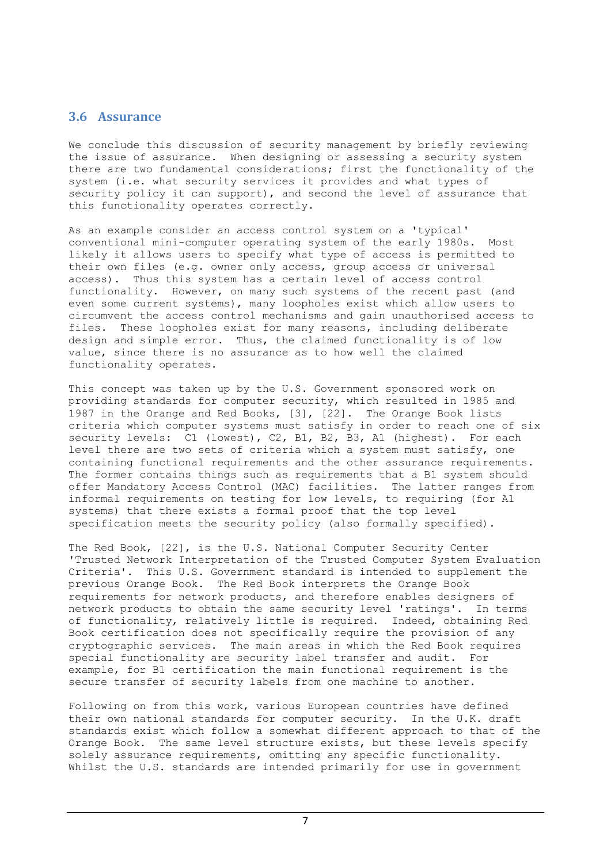## **3.6 Assurance**

We conclude this discussion of security management by briefly reviewing the issue of assurance. When designing or assessing a security system there are two fundamental considerations; first the functionality of the system (i.e. what security services it provides and what types of security policy it can support), and second the level of assurance that this functionality operates correctly.

As an example consider an access control system on a 'typical' conventional mini-computer operating system of the early 1980s. Most likely it allows users to specify what type of access is permitted to their own files (e.g. owner only access, group access or universal access). Thus this system has a certain level of access control functionality. However, on many such systems of the recent past (and even some current systems), many loopholes exist which allow users to circumvent the access control mechanisms and gain unauthorised access to files. These loopholes exist for many reasons, including deliberate design and simple error. Thus, the claimed functionality is of low value, since there is no assurance as to how well the claimed functionality operates.

This concept was taken up by the U.S. Government sponsored work on providing standards for computer security, which resulted in 1985 and 1987 in the Orange and Red Books, [3], [22]. The Orange Book lists criteria which computer systems must satisfy in order to reach one of six security levels: C1 (lowest), C2, B1, B2, B3, A1 (highest). For each level there are two sets of criteria which a system must satisfy, one containing functional requirements and the other assurance requirements. The former contains things such as requirements that a B1 system should offer Mandatory Access Control (MAC) facilities. The latter ranges from informal requirements on testing for low levels, to requiring (for A1 systems) that there exists a formal proof that the top level specification meets the security policy (also formally specified).

The Red Book, [22], is the U.S. National Computer Security Center 'Trusted Network Interpretation of the Trusted Computer System Evaluation Criteria'. This U.S. Government standard is intended to supplement the previous Orange Book. The Red Book interprets the Orange Book requirements for network products, and therefore enables designers of network products to obtain the same security level 'ratings'. In terms of functionality, relatively little is required. Indeed, obtaining Red Book certification does not specifically require the provision of any cryptographic services. The main areas in which the Red Book requires special functionality are security label transfer and audit. For example, for B1 certification the main functional requirement is the secure transfer of security labels from one machine to another.

Following on from this work, various European countries have defined their own national standards for computer security. In the U.K. draft standards exist which follow a somewhat different approach to that of the Orange Book. The same level structure exists, but these levels specify solely assurance requirements, omitting any specific functionality. Whilst the U.S. standards are intended primarily for use in government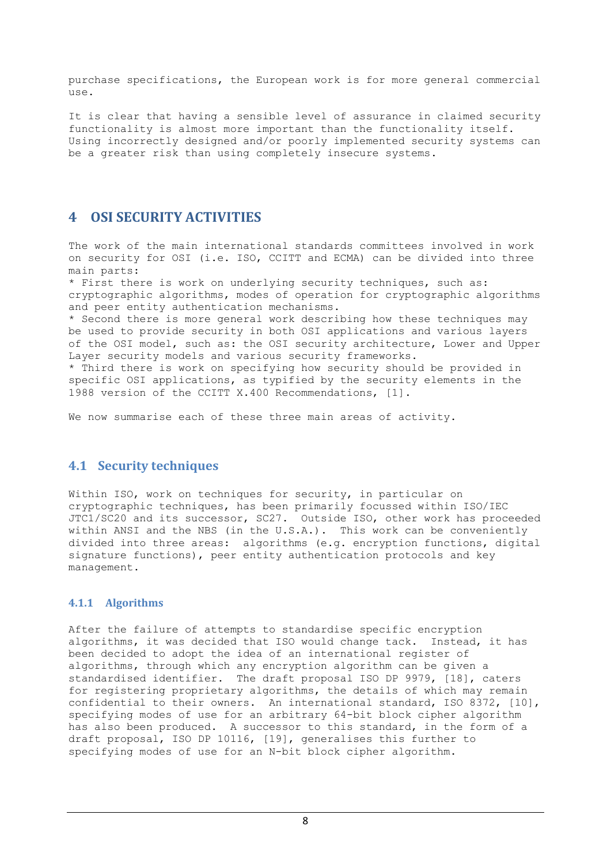purchase specifications, the European work is for more general commercial use.

It is clear that having a sensible level of assurance in claimed security functionality is almost more important than the functionality itself. Using incorrectly designed and/or poorly implemented security systems can be a greater risk than using completely insecure systems.

# **4 OSI SECURITY ACTIVITIES**

The work of the main international standards committees involved in work on security for OSI (i.e. ISO, CCITT and ECMA) can be divided into three main parts:

\* First there is work on underlying security techniques, such as: cryptographic algorithms, modes of operation for cryptographic algorithms and peer entity authentication mechanisms.

\* Second there is more general work describing how these techniques may be used to provide security in both OSI applications and various layers of the OSI model, such as: the OSI security architecture, Lower and Upper Layer security models and various security frameworks.

\* Third there is work on specifying how security should be provided in specific OSI applications, as typified by the security elements in the 1988 version of the CCITT X.400 Recommendations, [1].

We now summarise each of these three main areas of activity.

# **4.1 Security techniques**

Within ISO, work on techniques for security, in particular on cryptographic techniques, has been primarily focussed within ISO/IEC JTC1/SC20 and its successor, SC27. Outside ISO, other work has proceeded within ANSI and the NBS (in the U.S.A.). This work can be conveniently divided into three areas: algorithms (e.g. encryption functions, digital signature functions), peer entity authentication protocols and key management.

## **4.1.1 Algorithms**

After the failure of attempts to standardise specific encryption algorithms, it was decided that ISO would change tack. Instead, it has been decided to adopt the idea of an international register of algorithms, through which any encryption algorithm can be given a standardised identifier. The draft proposal ISO DP 9979, [18], caters for registering proprietary algorithms, the details of which may remain confidential to their owners. An international standard, ISO 8372, [10], specifying modes of use for an arbitrary 64-bit block cipher algorithm has also been produced. A successor to this standard, in the form of a draft proposal, ISO DP 10116, [19], generalises this further to specifying modes of use for an N-bit block cipher algorithm.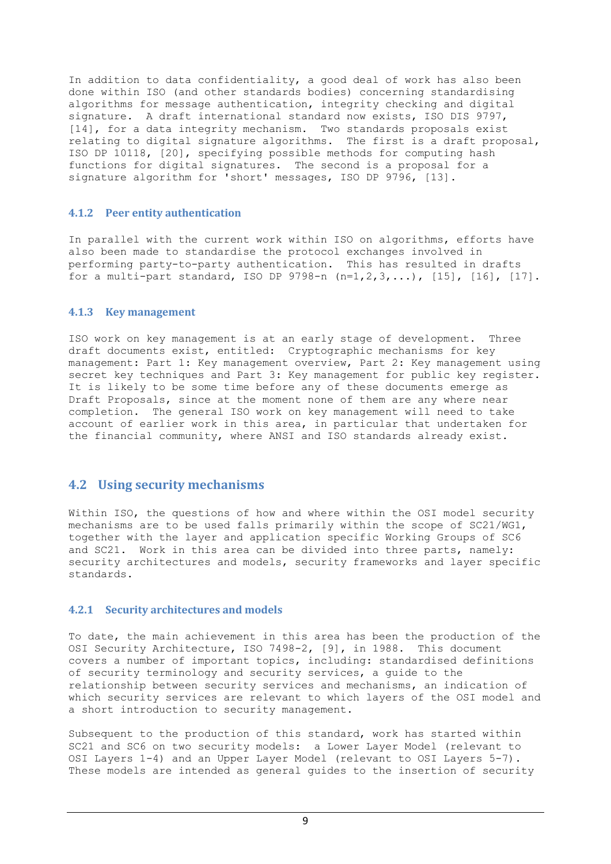In addition to data confidentiality, a good deal of work has also been done within ISO (and other standards bodies) concerning standardising algorithms for message authentication, integrity checking and digital signature. A draft international standard now exists, ISO DIS 9797, [14], for a data integrity mechanism. Two standards proposals exist relating to digital signature algorithms. The first is a draft proposal, ISO DP 10118, [20], specifying possible methods for computing hash functions for digital signatures. The second is a proposal for a signature algorithm for 'short' messages, ISO DP 9796, [13].

#### **4.1.2 Peer entity authentication**

In parallel with the current work within ISO on algorithms, efforts have also been made to standardise the protocol exchanges involved in performing party-to-party authentication. This has resulted in drafts for a multi-part standard, ISO DP 9798-n  $(n=1,2,3,...)$ , [15], [16], [17].

#### **4.1.3 Key management**

ISO work on key management is at an early stage of development. Three draft documents exist, entitled: Cryptographic mechanisms for key management: Part 1: Key management overview, Part 2: Key management using secret key techniques and Part 3: Key management for public key register. It is likely to be some time before any of these documents emerge as Draft Proposals, since at the moment none of them are any where near completion. The general ISO work on key management will need to take account of earlier work in this area, in particular that undertaken for the financial community, where ANSI and ISO standards already exist.

## **4.2 Using security mechanisms**

Within ISO, the questions of how and where within the OSI model security mechanisms are to be used falls primarily within the scope of SC21/WG1, together with the layer and application specific Working Groups of SC6 and SC21. Work in this area can be divided into three parts, namely: security architectures and models, security frameworks and layer specific standards.

#### **4.2.1 Security architectures and models**

To date, the main achievement in this area has been the production of the OSI Security Architecture, ISO 7498-2, [9], in 1988. This document covers a number of important topics, including: standardised definitions of security terminology and security services, a guide to the relationship between security services and mechanisms, an indication of which security services are relevant to which layers of the OSI model and a short introduction to security management.

Subsequent to the production of this standard, work has started within SC21 and SC6 on two security models: a Lower Layer Model (relevant to OSI Layers 1-4) and an Upper Layer Model (relevant to OSI Layers 5-7). These models are intended as general guides to the insertion of security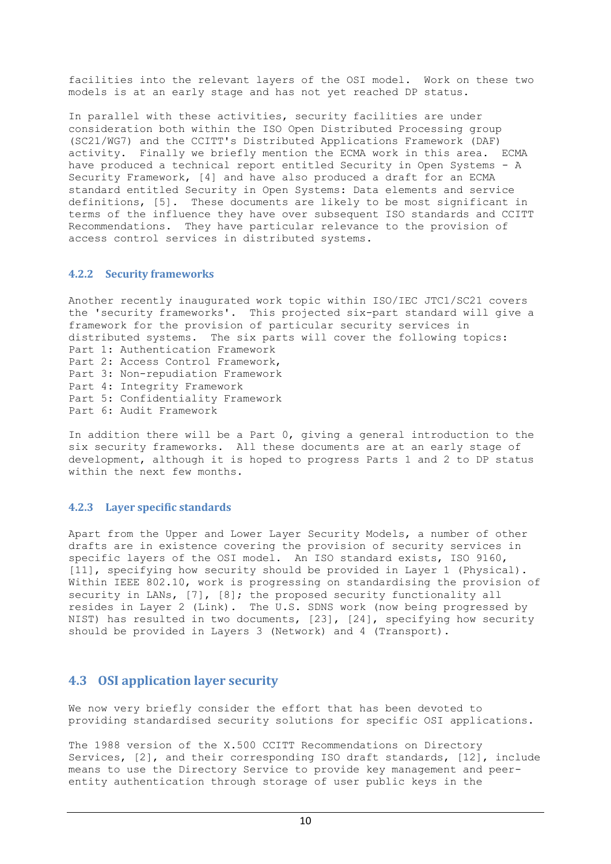facilities into the relevant layers of the OSI model. Work on these two models is at an early stage and has not yet reached DP status.

In parallel with these activities, security facilities are under consideration both within the ISO Open Distributed Processing group (SC21/WG7) and the CCITT's Distributed Applications Framework (DAF) activity. Finally we briefly mention the ECMA work in this area. ECMA have produced a technical report entitled Security in Open Systems - A Security Framework, [4] and have also produced a draft for an ECMA standard entitled Security in Open Systems: Data elements and service definitions, [5]. These documents are likely to be most significant in terms of the influence they have over subsequent ISO standards and CCITT Recommendations. They have particular relevance to the provision of access control services in distributed systems.

#### **4.2.2 Security frameworks**

Another recently inaugurated work topic within ISO/IEC JTC1/SC21 covers the 'security frameworks'. This projected six-part standard will give a framework for the provision of particular security services in distributed systems. The six parts will cover the following topics: Part 1: Authentication Framework Part 2: Access Control Framework, Part 3: Non-repudiation Framework Part 4: Integrity Framework Part 5: Confidentiality Framework Part 6: Audit Framework

In addition there will be a Part 0, giving a general introduction to the six security frameworks. All these documents are at an early stage of development, although it is hoped to progress Parts 1 and 2 to DP status within the next few months.

## **4.2.3 Layer specific standards**

Apart from the Upper and Lower Layer Security Models, a number of other drafts are in existence covering the provision of security services in specific layers of the OSI model. An ISO standard exists, ISO 9160, [11], specifying how security should be provided in Layer 1 (Physical). Within IEEE 802.10, work is progressing on standardising the provision of security in LANs, [7], [8]; the proposed security functionality all resides in Layer 2 (Link). The U.S. SDNS work (now being progressed by NIST) has resulted in two documents, [23], [24], specifying how security should be provided in Layers 3 (Network) and 4 (Transport).

# **4.3 OSI application layer security**

We now very briefly consider the effort that has been devoted to providing standardised security solutions for specific OSI applications.

The 1988 version of the X.500 CCITT Recommendations on Directory Services, [2], and their corresponding ISO draft standards, [12], include means to use the Directory Service to provide key management and peerentity authentication through storage of user public keys in the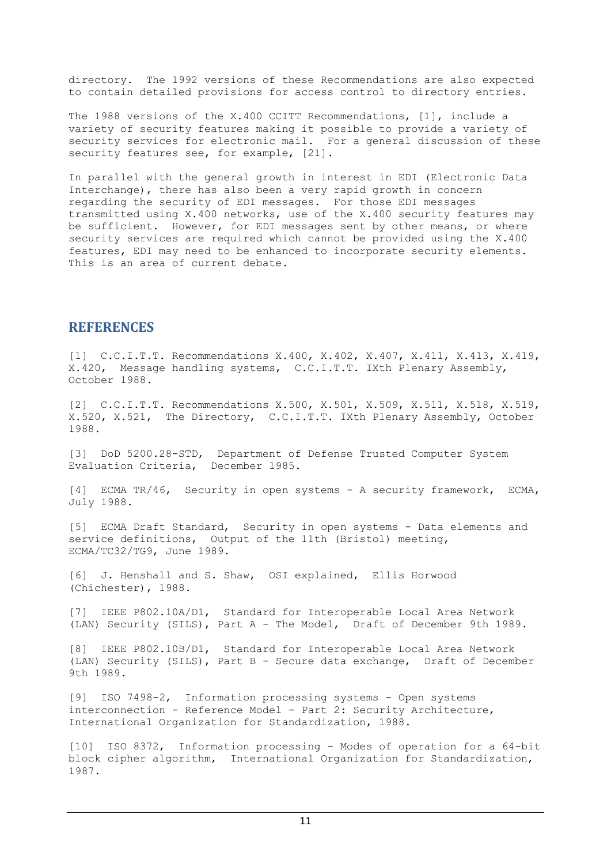directory. The 1992 versions of these Recommendations are also expected to contain detailed provisions for access control to directory entries.

The 1988 versions of the X.400 CCITT Recommendations, [1], include a variety of security features making it possible to provide a variety of security services for electronic mail. For a general discussion of these security features see, for example, [21].

In parallel with the general growth in interest in EDI (Electronic Data Interchange), there has also been a very rapid growth in concern regarding the security of EDI messages. For those EDI messages transmitted using X.400 networks, use of the X.400 security features may be sufficient. However, for EDI messages sent by other means, or where security services are required which cannot be provided using the X.400 features, EDI may need to be enhanced to incorporate security elements. This is an area of current debate.

## **REFERENCES**

[1] C.C.I.T.T. Recommendations X.400, X.402, X.407, X.411, X.413, X.419, X.420, Message handling systems, C.C.I.T.T. IXth Plenary Assembly, October 1988.

[2] C.C.I.T.T. Recommendations X.500, X.501, X.509, X.511, X.518, X.519, X.520, X.521, The Directory, C.C.I.T.T. IXth Plenary Assembly, October 1988.

[3] DoD 5200.28-STD, Department of Defense Trusted Computer System Evaluation Criteria, December 1985.

[4] ECMA TR/46, Security in open systems - A security framework, ECMA, July 1988.

[5] ECMA Draft Standard, Security in open systems - Data elements and service definitions, Output of the 11th (Bristol) meeting, ECMA/TC32/TG9, June 1989.

[6] J. Henshall and S. Shaw, OSI explained, Ellis Horwood (Chichester), 1988.

[7] IEEE P802.10A/D1, Standard for Interoperable Local Area Network (LAN) Security (SILS), Part A - The Model, Draft of December 9th 1989.

[8] IEEE P802.10B/D1, Standard for Interoperable Local Area Network (LAN) Security (SILS), Part B - Secure data exchange, Draft of December 9th 1989.

[9] ISO 7498-2, Information processing systems - Open systems interconnection - Reference Model - Part 2: Security Architecture, International Organization for Standardization, 1988.

[10] ISO 8372, Information processing - Modes of operation for a 64-bit block cipher algorithm, International Organization for Standardization, 1987.